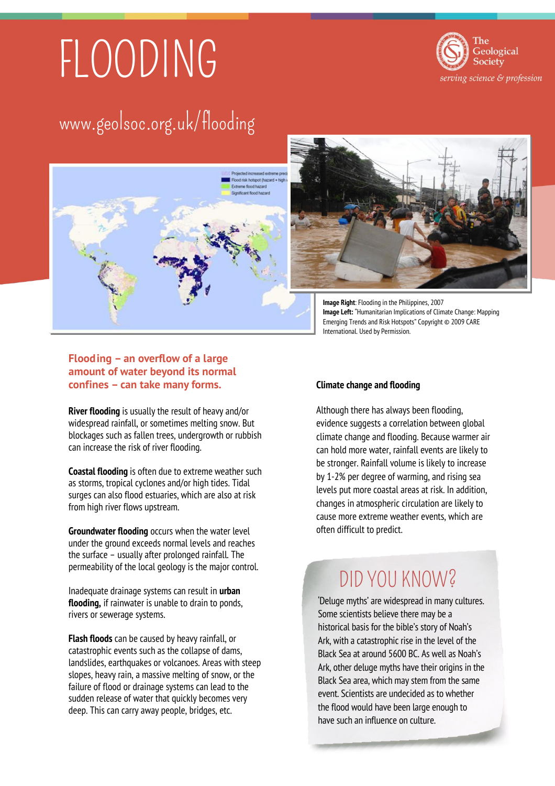# FLOODING



## www.geolsoc.org.uk/flooding





**Image Right**: Flooding in the Philippines, 2007 **Image Left:** "Humanitarian Implications of Climate Change: Mapping Emerging Trends and Risk Hotspots" Copyright © 2009 CARE International. Used by Permission.

#### **Flooding – an overflow of a large amount of water beyond its normal confines – can take many forms.**

**River flooding** is usually the result of heavy and/or widespread rainfall, or sometimes melting snow. But blockages such as fallen trees, undergrowth or rubbish can increase the risk of river flooding.

**Coastal flooding** is often due to extreme weather such as storms, tropical cyclones and/or high tides. Tidal surges can also flood estuaries, which are also at risk from high river flows upstream.

**Groundwater flooding** occurs when the water level under the ground exceeds normal levels and reaches the surface – usually after prolonged rainfall. The permeability of the local geology is the major control.

Inadequate drainage systems can result in **urban flooding,** if rainwater is unable to drain to ponds, rivers or sewerage systems.

**Flash floods** can be caused by heavy rainfall, or catastrophic events such as the collapse of dams, landslides, earthquakes or volcanoes. Areas with steep slopes, heavy rain, a massive melting of snow, or the failure of flood or drainage systems can lead to the sudden release of water that quickly becomes very deep. This can carry away people, bridges, etc.

#### **Climate change and flooding**

Although there has always been flooding, evidence suggests a correlation between global climate change and flooding. Because warmer air can hold more water, rainfall events are likely to be stronger. Rainfall volume is likely to increase by 1-2% per degree of warming, and rising sea levels put more coastal areas at risk. In addition, changes in atmospheric circulation are likely to cause more extreme weather events, which are often difficult to predict.

## DID YOU KNOW?

'Deluge myths' are widespread in many cultures. Some scientists believe there may be a historical basis for the bible's story of Noah's Ark, with a catastrophic rise in the level of the Black Sea at around 5600 BC. As well as Noah's Ark, other deluge myths have their origins in the Black Sea area, which may stem from the same event. Scientists are undecided as to whether the flood would have been large enough to have such an influence on culture.